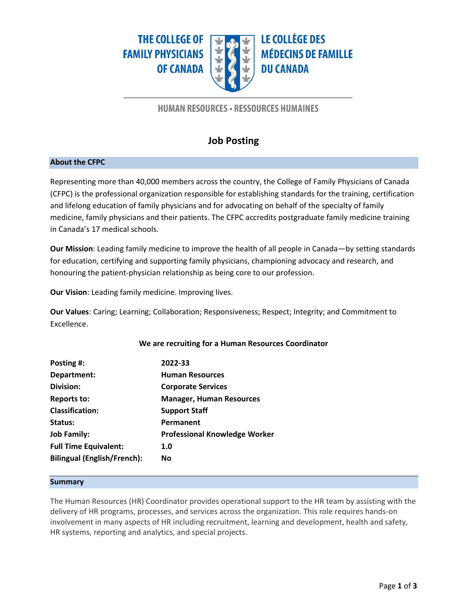**THE COLLEGE OF FAMILY PHYSICIANS OF CANADA** 



**LE COLLÈGE DES MÉDECINS DE FAMILLE DU CANADA** 

## **HUMAN RESOURCES - RESSOURCES HUMAINES**

# **Job Posting**

#### **About the CFPC**

Representing more than 40,000 members across the country, the College of Family Physicians of Canada (CFPC) is the professional organization responsible for establishing standards for the training, certification and lifelong education of family physicians and for advocating on behalf of the specialty of family medicine, family physicians and their patients. The CFPC accredits postgraduate family medicine training in Canada's 17 medical schools.

**Our Mission**: Leading family medicine to improve the health of all people in Canada—by setting standards for education, certifying and supporting family physicians, championing advocacy and research, and honouring the patient-physician relationship as being core to our profession.

**Our Vision**: Leading family medicine. Improving lives.

**Our Values**: Caring; Learning; Collaboration; Responsiveness; Respect; Integrity; and Commitment to Excellence.

## **We are recruiting for a Human Resources Coordinator**

| 2022-33                              |
|--------------------------------------|
| <b>Human Resources</b>               |
| <b>Corporate Services</b>            |
| <b>Manager, Human Resources</b>      |
| <b>Support Staff</b>                 |
| Permanent                            |
| <b>Professional Knowledge Worker</b> |
| 1.0                                  |
| <b>No</b>                            |
|                                      |

#### **Summary**

The Human Resources (HR) Coordinator provides operational support to the HR team by assisting with the delivery of HR programs, processes, and services across the organization. This role requires hands-on involvement in many aspects of HR including recruitment, learning and development, health and safety, HR systems, reporting and analytics, and special projects.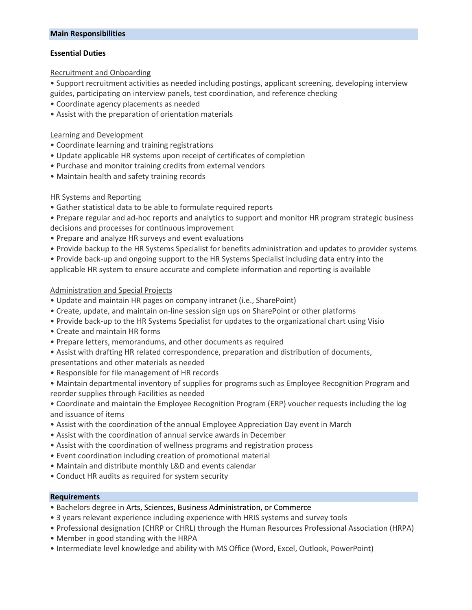#### **Main Responsibilities**

## **Essential Duties**

#### Recruitment and Onboarding

• Support recruitment activities as needed including postings, applicant screening, developing interview guides, participating on interview panels, test coordination, and reference checking

- Coordinate agency placements as needed
- Assist with the preparation of orientation materials

### Learning and Development

- Coordinate learning and training registrations
- Update applicable HR systems upon receipt of certificates of completion
- Purchase and monitor training credits from external vendors
- Maintain health and safety training records

## HR Systems and Reporting

- Gather statistical data to be able to formulate required reports
- Prepare regular and ad-hoc reports and analytics to support and monitor HR program strategic business decisions and processes for continuous improvement
- Prepare and analyze HR surveys and event evaluations
- Provide backup to the HR Systems Specialist for benefits administration and updates to provider systems
- Provide back-up and ongoing support to the HR Systems Specialist including data entry into the applicable HR system to ensure accurate and complete information and reporting is available

## Administration and Special Projects

- Update and maintain HR pages on company intranet (i.e., SharePoint)
- Create, update, and maintain on-line session sign ups on SharePoint or other platforms
- Provide back-up to the HR Systems Specialist for updates to the organizational chart using Visio
- Create and maintain HR forms
- Prepare letters, memorandums, and other documents as required
- Assist with drafting HR related correspondence, preparation and distribution of documents,
- presentations and other materials as needed
- Responsible for file management of HR records
- Maintain departmental inventory of supplies for programs such as Employee Recognition Program and reorder supplies through Facilities as needed
- Coordinate and maintain the Employee Recognition Program (ERP) voucher requests including the log and issuance of items
- Assist with the coordination of the annual Employee Appreciation Day event in March
- Assist with the coordination of annual service awards in December
- Assist with the coordination of wellness programs and registration process
- Event coordination including creation of promotional material
- Maintain and distribute monthly L&D and events calendar
- Conduct HR audits as required for system security

## **Requirements**

- Bachelors degree in Arts, Sciences, Business Administration, or Commerce
- 3 years relevant experience including experience with HRIS systems and survey tools
- Professional designation (CHRP or CHRL) through the Human Resources Professional Association (HRPA)
- Member in good standing with the HRPA
- Intermediate level knowledge and ability with MS Office (Word, Excel, Outlook, PowerPoint)